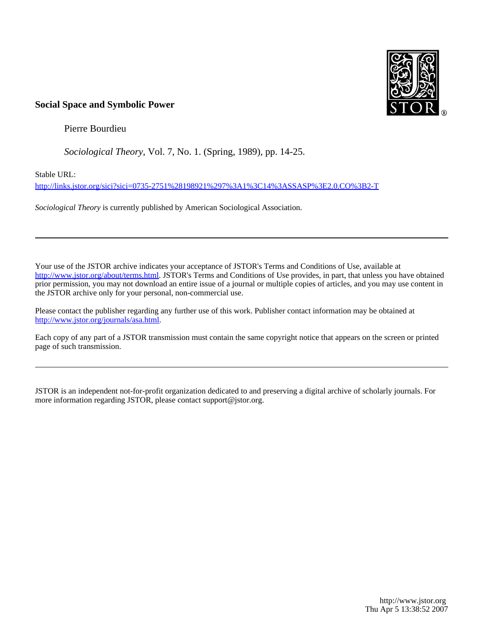

# **Social Space and Symbolic Power**

Pierre Bourdieu

*Sociological Theory*, Vol. 7, No. 1. (Spring, 1989), pp. 14-25.

Stable URL:

<http://links.jstor.org/sici?sici=0735-2751%28198921%297%3A1%3C14%3ASSASP%3E2.0.CO%3B2-T>

*Sociological Theory* is currently published by American Sociological Association.

Your use of the JSTOR archive indicates your acceptance of JSTOR's Terms and Conditions of Use, available at [http://www.jstor.org/about/terms.html.](http://www.jstor.org/about/terms.html) JSTOR's Terms and Conditions of Use provides, in part, that unless you have obtained prior permission, you may not download an entire issue of a journal or multiple copies of articles, and you may use content in the JSTOR archive only for your personal, non-commercial use.

Please contact the publisher regarding any further use of this work. Publisher contact information may be obtained at <http://www.jstor.org/journals/asa.html>.

Each copy of any part of a JSTOR transmission must contain the same copyright notice that appears on the screen or printed page of such transmission.

JSTOR is an independent not-for-profit organization dedicated to and preserving a digital archive of scholarly journals. For more information regarding JSTOR, please contact support@jstor.org.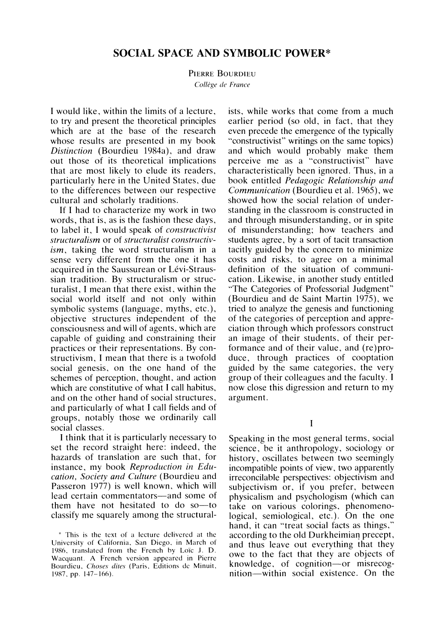PIERRE BOURDIEU *Collège de France* 

I would like, within the limits of a lecture, to try and present the theoretical principles which are at the base of the research whose results are presented in my book *Distinction* (Bourdieu 1984a), and draw out those of its theoretical implications that are most likely to elude its readers, particularly here in the United States, due to the differences between our respective cultural and scholarly traditions.

If I had to characterize my work in two words, that is, as is the fashion these days, to label it, I would speak of *constructivist structuralism* or of *structuralist constructivism,* taking the word structuralism in a sense very different from the one it has acquired in the Saussurean or Lévi-Straussian tradition. By structuralism or structuralist, I mean that there exist, within the social world itself and not only within symbolic systems (language, myths, etc.), objective structures independent of the consciousness and will of agents, which are capable of guiding and constraining their practices or their representations. By constructivism, I mean that there is a twofold social genesis, on the one hand of the schemes of perception, thought. and action which are constitutive of what I call habitus, and on the other hand of social structures, and particularly of what I call fields and of groups, notably those we ordinarily call social classes.

I think that it is particularly necessary to set the record straight here: indeed, the hazards of translation are such that, for instance, my book *Reproduction in Education, Society and Culture* (Bourdieu and Passeron 1977) is well known. which will lead certain commentators—and some of them have not hesitated to do so-to classify me squarely among the structuralists, while works that come from a much earlier period (so old, in fact, that they even precede the emergence of the typically "constructivist" writings on the same topics) and which would probably make them perceive me as a "constructivist" have characteristically been ignored. Thus, in a book entitled *Pedagogic Relationship and Communication* (Bourdieu et al. 1965), we showed how the social relation of understanding in the classroom is constructed in and through misunderstanding, or in spite of misunderstanding; how teachers and students agree, by a sort of tacit transaction tacitly guided by the concern to minimize costs and risks, to agree on a minimal definition of the situation of communication. Likewise, in another study entitled "The Categories of Professorial Judgment" (Bourdieu and de Saint Martin 1975). we tried to analyze the genesis and functioning of the categories of perception and appreciation through which professors construct an image of their students, of their performance and of their value, and (re)produce, through practices of cooptation guided by the same categories, the very group of their colleagues and the faculty. I now close this digression and return to my argument.

Ī

Speaking in the most general terms. social science, be it anthropology, sociology or history. oscillates between two seemingly incompatible points of view. two apparently irreconcilable perspectives: objectivism and subjectivism or, if you prefer, between physicalism and psychologism (which can take on various colorings. phenomenological, semiological, etc.). On the one hand, it can "treat social facts as things," according to the old Durkheimian precept, and thus leave out everything that they owe to the fact that they are objects of knowledge. of cognition-or misrecognition-within social existence. On the

This is the text of a lecture delivered at the University of California. San Diego. in March of 1986. translated from the French by Loic J. D. Wacquant. A French version appeared in Pierre Bourdieu. *Choses dire\* (Paris. Editions de Minuit. 1987. pp. 147-166).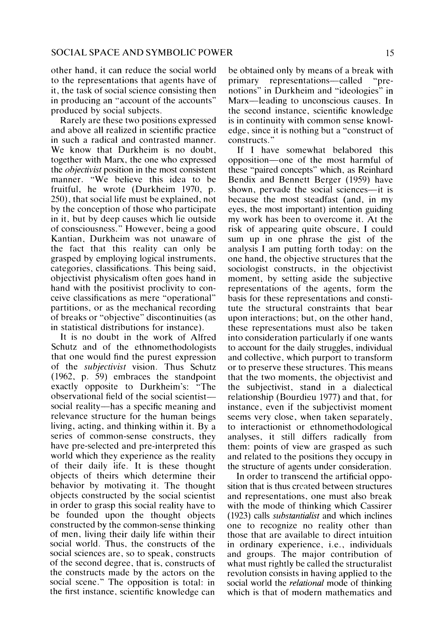other hand, it can reduce the social world to the representations that agents have of it, the task of social science consisting then in producing an "account of the accounts" produced by social subjects.

Rarely are these two positions expressed and above all realized in scientific practice in such a radical and contrasted manner. We know that Durkheim is no doubt, together with Marx, the one who expressed the *objectivist* position in the most consistent manner. "We believe this idea to be fruitful, he wrote (Durkheim 1970, p. 250), that social life must be explained, not by the conception of those who participate in it, but by deep causes which lie outside of consciousness." However, being a good Kantian, Durkheim was not unaware of the fact that this reality can only be grasped by employing logical instruments. categories, classifications. This being said, objectivist physicalism often goes hand in hand with the positivist proclivity to conceive classifications as mere "operational" partitions, or as the mechanical recording of breaks or "objective" discontinuities (as in statistical distributions for instance).

It is no doubt in the work of Alfred Schutz and of the ethnomethodologists that one would find the purest expression of the *subjectivist* vision. Thus Schutz (1962. p. 59) embraces the standpoint exactly opposite to Durkheim's: "The observational field of the social scientistsocial reality—has a specific meaning and relevance structure for the human beings living, acting, and thinking within it. By a series of common-sense constructs, they have pre-selected and pre-interpreted this world which they experience as the reality of their daily life. It is these thought objects of theirs which determine their behavior by motivating it. The thought objects constructed by the social scientist in order to grasp this social reality have to be founded upon the thought objects constructed by the common-sense thinking of men, living their daily life within their social world. Thus, the constructs of the social sciences are, so to speak, constructs of the second degree, that is, constructs of the constructs made by the actors on the social scene." The opposition is total: in the first instance, scientific knowledge can

be obtained only by means of a break with primary representations—called "prenotions" in Durkheim and "ideologies" in Marx—leading to unconscious causes. In the second instance, scientific knowledge is in continuity with common sense knowledge, since it is nothing but a "construct of constructs."

If I have somewhat belabored this opposition-one of the most harmful of these "paired concepts" which, as Reinhard Bendix and Bennett Berger (1959) have shown, pervade the social sciences—it is because the most steadfast (and, in my eyes, the most important) intention guiding my work has been to overcome it. At the risk of appearing quite obscure, I could sum up in one phrase the gist of the analysis I am putting forth today: on the one hand, the objective structures that the sociologist constructs, in the objectivist moment, by setting aside the subjective representations of the agents, form the basis for these representations and constitute the structural constraints that bear upon interactions; but, on the other hand, these representations must also be taken into consideration particularly if one wants to account for the daily struggles, individual and collective, which purport to transform or to preserve these structures. This means that the two moments, the objectivist and the subjectivist, stand in a dialectical relationship (Bourdieu 1977) and that, for instance, even if the subjectivist moment seems very close, when taken separately, to interactionist or ethnomethodological analyses, it still differs radically from them: points of view are grasped as such and related to the positions they occupy in the structure of agents under consideration.

In order to transcend the artificial opposition that is thus created between structures and representations, one must also break with the mode of thinking which Cassirer (1923) calls *substantialist* and which inclines one to recognize no reality other than those that are available to direct intuition in ordinary experience. i.e., individuals and groups. The major contribution of what must rightly be called the structuralist revolution consists in having applied to the social world the *relational* mode of thinking which is that of modern mathematics and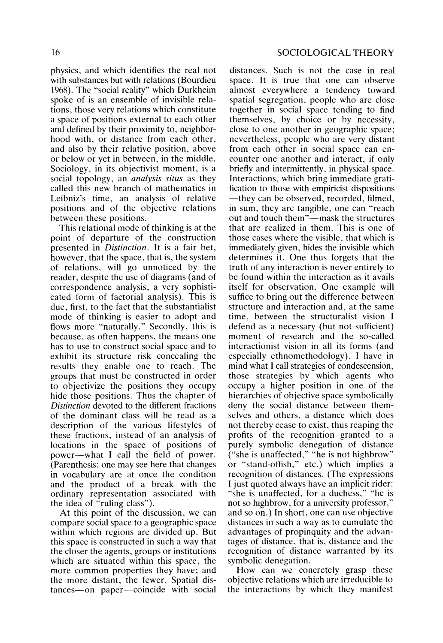physics, and which identifies the real not with substances but with relations (Bourdieu 1968). The "social reality" which Durkheim spoke of is an ensemble of invisible relations, those very relations which constitute a space of positions external to each other and defined by their proximity to, neighborhood with, or distance from each other, and also by their relative position, above or below or yet in between, in the middle. Sociology, in its objectivist moment, is a social topology, an *analysis situs* as they called this new branch of mathematics in Leibniz's time, an analysis of relative positions and of the objective relations

between these positions. This relational mode of thinking is at the point of departure of the construction presented in *Distinction.* It is a fair bet, however, that the space, that is, the system of relations. will go unnoticed by the reader. despite the use of diagrams (and of correspondence analysis, a very sophisticated form of factorial analysis). This is due, first, to the fact that the substantialist mode of thinking is easier to adopt and flows more "naturally." Secondly, this is because, as often happens. the means one has to use to construct social space and to exhibit its structure risk concealing the results they enable one to reach. The groups that must be constructed in order to objectivize the positions they occupy hide those positions. Thus the chapter of *Distinction* devoted to the different fractions of the dominant class will be read as a description of the various lifestyles of these fractions, instead of an analysis of locations in the space of positions of power-what I call the field of power. (Parenthesis: one may see here that changes in vocabulary are at once the condition and the product of a break with the ordinary representation associated with the idea of "ruling class").

At this point of the discussion, we can compare social space to a geographic space within which regions are divided up. But this space is constructed in such a way that the closer the agents, groups or institutions which are situated within this space, the more common properties they have; and the more distant, the fewer. Spatial distances-on paper-coincide with social

distances. Such is not the case in real space. It is true that one can observe almost everywhere a tendency toward spatial segregation, people who are close together in social space tending to find themselves, by choice or by necessity, close to one another in geographic space; nevertheless. people who are very distant from each other in social space can encounter one another and interact, if only briefly and intermittently. in physical space. Interactions, which bring immediate gratification to those with empiricist dispositions -they can be observed, recorded, filmed, in sum. they are tangible, one can "reach out and touch them"-mask the structures that are realized in them. This is one of those cases where the visible, that which is immediately given, hides the invisible which determines it. One thus forgets that the truth of any interaction is never entirely to be found within the interaction as it avails itself for observation. One example will suffice to bring out the difference between structure and interaction and, at the same time. between the structuralist vision I defend as a necessary (but not sufficient) moment of research and the so-called interactionist vision in all its forms (and especially ethnomethodology). I have in mind what I call strategies of condescension, those strategies by which agents who occupy a higher position in one of the hierarchies of objective space symbolically deny the social distance between themselves and others, a distance which does not thereby cease to exist, thus reaping the profits of the recognition granted to a purely symbolic denegation of distance ("she is unaffected," "he is not highbrow" or "stand-offish," etc.) which implies a recognition of distances. (The expressions I just quoted always have an implicit rider: "she is unaffected, for a duchess," "he is not so highbrow, for a university professor," and so on.) In short, one can use objective distances in such a way as to cumulate the advantages of propinquity and the advantages of distance, that is, distance and the recognition of distance warranted by its symbolic denegation.

How can we concretely grasp these objective relations which are irreducible to the interactions by which they manifest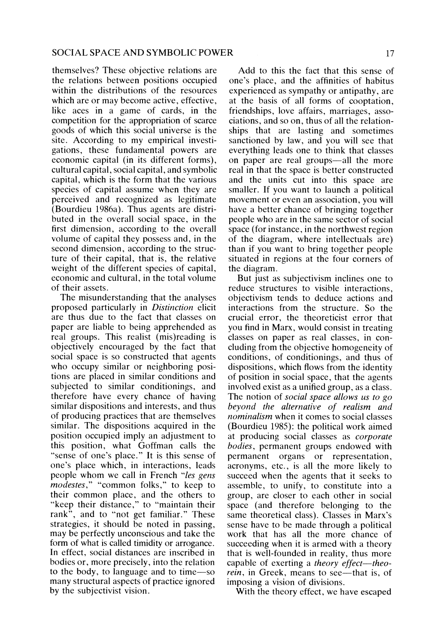## SOCIAL SPACE AND SYMBOLIC POWER 17

themselves? These objective relations are the relations between positions occupied within the distributions of the resources which are or may become active, effective, like aces in a game of cards, in the competition for the appropriation of scarce goods of which this social universe is the site. According to my empirical investigations, these fundamental powers are economic capital (in its different forms), cultural capital, social capital, and symbolic capital, which is the form that the various species of capital assume when they are perceived and recognized as legitimate (Bourdieu 1986a). Thus agents are distributed in the overall social space, in the first dimension, according to the overall volume of capital they possess and, in the second dimension, according to the struc ture of their capital, that is, the relative weight of the different species of capital, economic and cultural. in the total volume of their assets.

The misunderstanding that the analyses proposed particularly in *Distinction* elicit are thus due to the fact that classes on paper are liable to being apprehended as real groups. This realist (mis)reading is objectively encouraged by the fact that social space is so constructed that agents who occupy similar or neighboring positions are placed in similar conditions and subjected- to similar conditionings, and therefore have every chance of having similar dispositions and interests, and thus of producing practices that are themselves similar. The dispositions acquired in the position occupied imply an adjustment to this position, what Goffman calls the "sense of one's place." It is this sense of one's place which, in interactions, leads people whom we call in French *"les gens modestes,"* "common folks," to keep to their common place, and the others to "keep their distance," to "maintain their rank", and to "not get familiar." These strategies, it should be noted in passing, may be perfectly unconscious and take the form of what is called timidity or arrogance. In effect, social distances are inscribed in bodies or, more precisely, into the relation to the body, to language and to time-so many structural aspects of practice ignored by the subjectivist vision.

Add to this the fact that this sense of one's place, and the affinities of habitus experienced as sympathy or antipathy, are at the basis of all forms of cooptation, friendships, love affairs, marriages, associations, and so on, thus of all the relationships that are lasting and sometimes sanctioned by law, and you will see that everything leads one to think that classes on paper are real groups—all the more real in that the space is better constructed and the units cut into this space are smaller. If you want to launch a political movement or even an association, you will have a better chance of bringing together people who are in the same sector of social space (for instance, in the northwest region of the diagram, where intellectuals are) than if you want to bring together people situated in regions at the four corners of the diagram.

But just as subjectivism inclines one to reduce structures to visible interactions, objectivism tends to deduce actions and interactions from the structure. So the crucial error, the theoreticist error that you find in Marx, would consist in treating classes on paper as real classes, in concluding from the objective homogeneity of conditions, of conditionings, and thus of dispositions, which flows from the identity of position in social space, that the agents involved exist as a unified group, as a class. The notion of *social space allows us to go beyond the alternative of realism and nominalism* when it comes to social classes (Bourdieu 1985): the political work aimed at producing social classes as *corporate bodies,* permanent groups endowed with permanent organs or representation, acronyms, etc., is all the more likely to succeed when the agents that it seeks to assemble, to unify, to constitute into a group, are closer to each other in social space (and therefore belonging to the same theoretical class). Classes in Marx's sense have to be made through a political work that has all the more chance of succeeding when it is armed with a theory that is well-founded in reality, thus more capable of exerting a *theory effect—theorein*, in Greek, means to see—that is, of imposing a vision of divisions.

With the theory effect, we have escaped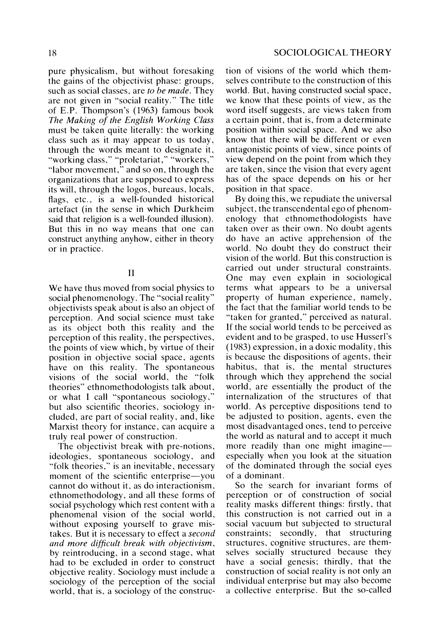pure physicalism, but without foresaking the gains of the objectivist phase: groups, such as social classes. are *to be made.* They are not given in "social reality." The title of E.P. Thompson's (1963) famous book *The Making of the English Working Class*  must be taken quite literally: the working class such as it may appear to us today, through the words meant to designate it, "working class," "proletariat," "workers," "labor movement," and so on, through the organizations that are supposed to express its will, through the logos, bureaus, locals, flags, etc., is a well-founded historical artefact (in the sense in which Durkheim said that religion is a well-founded illusion). But this in no way means that one can construct anything anyhow, either in theory or in practice.

 $\mathbf{H}$ 

We have thus moved from social physics to social phenomenology. The "social reality" objectivists speak about is also an object of perception. And social science must take as its object both this reality and the perception of this reality, the perspectives. the points of view which, by virtue of their position in objective social space, agents have on this reality. The spontaneous visions of the social world, the "folk theories" ethnomethodologists talk about, or what I call "spontaneous sociology," but also scientific theories, sociology included, are part of social reality, and, like Marxist theory for instance, can acquire a truly real power of construction.

The objectivist break with pre-notions, ideologies, spontaneous sociology, and "folk theories," is an inevitable, necessary moment of the scientific enterprise—you cannot do without it, as do interactionism, ethnomethodology, and all these forms of social psychology which rest content with a phenomenal vision of the social world, without exposing yourself to grave mistakes. But it is necessary to effect a *second and more difJicult break with objectivism,*  by reintroducing, in a second stage, what had to be excluded in order to construct objective reality. Sociology must include a sociology of the perception of the social world, that is, a sociology of the construction of visions of the world which themselves contribute to the construction of this world. But, having constructed social space, we know that these points of view, as the word itself suggests, are views taken from a certain point, that is, from a determinate position within social space. And we also know that there will be different or even antagonistic points of view, since points of view depend on the point from which they are taken, since the vision that every agent has of the space depends on his or her position in that space.

By doing this, we repudiate the universal subject, the transcendental ego of phenomenology that ethnomethodologists have taken over as their own. No doubt agents do have an active apprehension of the world. No doubt they do construct their vision of the world. But this construction is carried out under structural constraints. One may even explain in sociological terms what appears to be a universal property of human experience, namely. the fact that the familiar world tends to be "taken for granted," perceived as natural. If the social world tends to be perceived as evident and to be grasped. to use Husserl's (1983) expression, in a doxic modality, this is because the dispositions of agents, their habitus. that is, the mental structures through which they apprehend the social world, are essentially the product of the internalization of the structures of that world. As perceptive dispositions tend to be adjusted to position, agents, even the most disadvantaged ones, tend to perceive the world as natural and to accept it much more readily than one might imagineespecially when you look at the situation of the dominated through the social eyes of a dominant.

So the search for invariant forms of perception or of construction of social reality masks different things: firstly. that this construction is not carried out in a social vacuum but subjected to structural constraints; secondly, that structuring structures. cognitive structures, are themselves socially structured because they have a social genesis; thirdly. that the construction of social reality is not only an individual enterprise but may also become a collective enterprise. But the so-called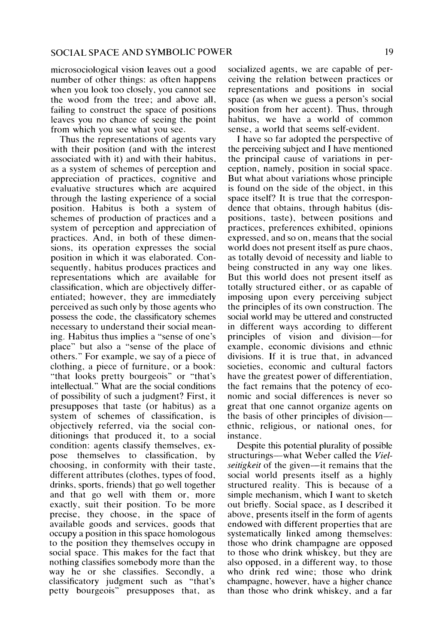microsociological vision leaves out a good number of other things: as often happens when you look too closely, you cannot see the wood from the tree; and above all, failing to construct the space of positions leaves you no chance of seeing the point from which you see what you see.

Thus the representations of agents vary with their position (and with the interest associated with it) and with their habitus, as a system of schemes of perception and appreciation of practices, cognitive and evaluative structures which are acquired through the lasting experience of a social position. Habitus is both a system of schemes of production of practices and a system of perception and appreciation of practices. And, in both of these dimensions, its operation expresses the social position in which it was elaborated. Consequently, habitus produces practices and representations which are available for classification, which are objectively differentiated; however. they are immediately perceived as such only by those agents who possess the code, the classificatory schemes necessary to understand their social meaning. Habitus thus implies a "sense of one's place" but also a "sense of the place of others." For example. we say of a piece of clothing, a piece of furniture, or a book: "that looks pretty bourgeois" or "that's intellectual." What are the social conditions of possibility of such a judgment? First, it presupposes that taste (or habitus) as a system of schemes of classification, is objectively referred, via the social conditionings that produced it, to a social condition: agents classify themselves, expose themselves to classification, by choosing, in conformity with their taste, different attributes (clothes, types of food, drinks, sports. friends) that go well together and that go well with them or, more exactly, suit their position. To be more precise, they choose, in the space of available goods and services, goods that occupy a position in this space homologous to the position they themselves occupy in social space. This makes for the fact that nothing classifies somebody more than the way he or she classifies. Secondly, a classificatory judgment such as "that's petty bourgeois" presupposes that, as

socialized agents, we are capable of perceiving the relation between practices or representations and positions in social space (as when we guess a person's social position from her accent). Thus, through habitus. we have a world of common sense, **a** world that seems self-evident.

I have so far adopted the perspective of the perceiving subject and I have mentioned the principal cause of variations in perception, namely, position in social space. But what about variations whose principle is found on the side of the object, in this space itself? It is true that the correspondence that obtains, through habitus (dispositions, taste), between positions and practices, preferences exhibited, opinions expressed, and so on, means that the social world does not present itself as pure chaos, as totally devoid of necessity and liable to being constructed in any way one likes. But this world does not present itself as totally structured either, or as capable of imposing upon every perceiving subject the principles of its own construction. The social world may be uttered and constructed in different ways according to different principles of vision and division-for example, economic divisions and ethnic divisions. If it is true that, in advanced societies, economic and cultural factors have the greatest power of differentiation, the fact remains that the potency of economic and social differences is never so great that one cannot organize agents on the basis of other principles of division ethnic, religious, or national ones, for instance.

Despite this potential plurality of possible structurings—what Weber called the *Vielseitigkeit* of the given-it remains that the social world presents itself as a highly structured reality. This is because of a simple mechanism, which I want to sketch out briefly. Social space, as I described it above, presents itself in the form of agents endowed with different properties that are systematically linked among themselves: those who drink champagne are opposed to those who drink whiskey. but they are also opposed, in a different way, to those who drink red wine; those who drink champagne, however, have a higher chance than those who drink whiskey, and a far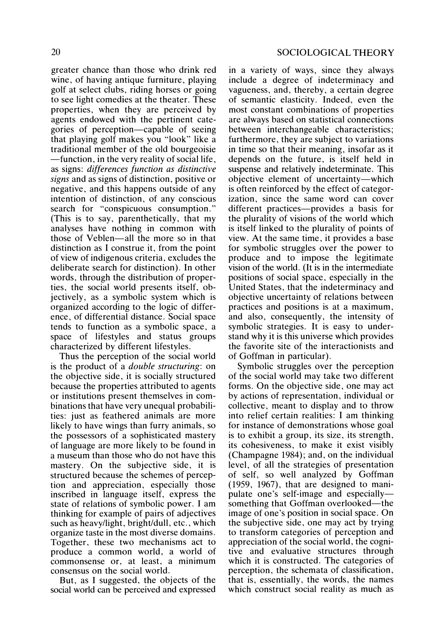greater chance than those who drink red wine, of having antique furniture, playing golf at select clubs, riding horses or going to see light comedies at the theater. These properties, when they are perceived by agents endowed with the pertinent categories of perception-capable of seeing that playing golf makes you "look" like a traditional member of the old bourgeoisie -function, in the very reality of social life, as signs: differences function as distinctive signs and as signs of distinction, positive or negative, and this happens outside of any intention of distinction, of any conscious search for "conspicuous consumption." (This is to say, parenthetically, that my analyses have nothing in common with those of Veblen-all the more so in that distinction as I construe it, from the point of view of indigenous criteria, excludes the deliberate search for distinction). In other words, through the distribution of properties, the social world presents itself, objectively, as a symbolic system which is organized according to the logic of difference, of differential distance. Social space tends to function as a symbolic space, a space of lifestyles and status groups characterized by different lifestyles.

Thus the perception of the social world is the product of a double structuring: on the objective side, it is socially structured because the properties attributed to agents or institutions present themselves in combinations that have very unequal probabilities: just as feathered animals are more likely to have wings than furry animals, so the possessors of a sophisticated mastery of language are more likely to be found in a museum than those who do not have this mastery. On the subjective side, it is structured because the schemes of perception and appreciation, especially those inscribed in language itself, express the state of relations of symbolic power. I am thinking for example of pairs of adjectives such as heavy/light, bright/dull, etc., which organize taste in the most diverse domains. Together, these two mechanisms act to produce a common world, a world of commonsense or, at least, a minimum consensus on the social world.

But, as I suggested, the objects of the social world can be perceived and expressed

in a variety of ways, since they always include a degree of indeterminacy and vagueness, and, thereby, a certain degree of semantic elasticity. Indeed, even the most constant combinations of properties are always based on statistical connections between interchangeable characteristics; furthermore, they are subject to variations in time so that their meaning, insofar as it depends on the future, is itself held in suspense and relatively indeterminate. This objective element of uncertainty-which is often reinforced by the effect of categorization, since the same word can cover different practices—provides a basis for the plurality of visions of the world which is itself linked to the plurality of points of view. At the same time, it provides a base for symbolic struggles over the power to produce and to impose the legitimate vision of the world. (It is in the intermediate positions of social space, especially in the United States, that the indeterminacy and objective uncertainty of relations between practices and positions is at a maximum, and also, consequently, the intensity of symbolic strategies. It is easy to understand why it is this universe which provides the favorite site of the interactionists and of Goffman in particular).

Symbolic struggles over the perception of the social world may take two different forms. On the objective side, one may act by actions of representation, individual or collective, meant to display and to throw into relief certain realities: I am thinking for instance of demonstrations whose goal is to exhibit a group, its size, its strength, its cohesiveness, to make it exist visibly (Champagne 1984); and, on the individual level, of all the strategies of presentation of self, so well analyzed by Goffman (1959, 1967), that are designed to manipulate one's self-image and especiallysomething that Goffman overlooked—the image of one's position in social space. On the subjective side, one may act by trying to transform categories of perception and appreciation of the social world, the cognitive and evaluative structures through which it is constructed. The categories of perception, the schemata of classification, that is, essentially, the words, the names which construct social reality as much as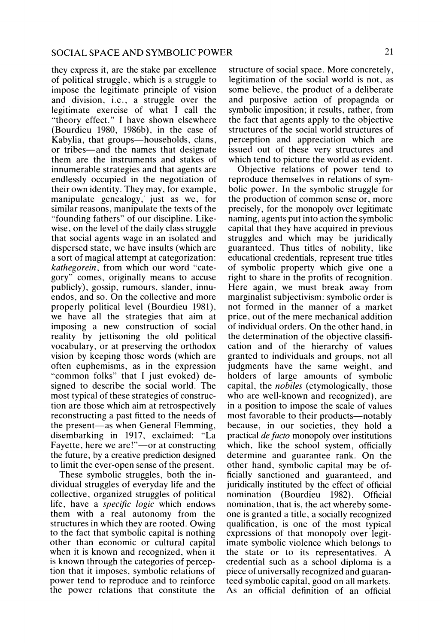they express it, are the stake par excellence of political struggle, which is a struggle to impose the legitimate principle of vision and division, i.e., a struggle over the legitimate exercise of what I call the "theory effect." I have shown elsewhere (Bourdieu 1980, 1986b), in the case of Kabylia, that groups—households, clans, or tribes—and the names that designate them are the instruments and stakes of innumerable strategies and that agents are endlessly occupied in the negotiation of their own identity. They may, for example, manipulate genealogy,' just as we, for similar reasons, manipulate the texts of the "founding fathers" of our discipline. Likewise, on the level of the daily class struggle that social agents wage in an isolated and dispersed state, we have insults (which are a sort of magical attempt at categorization: *kathegorein,* from which our word "category" comes, originally means to accuse publicly), gossip, rumours, slander, innuendos, and so. On the collective and more properly political level (Bourdieu 1981), we have all the strategies that aim at imposing a new construction of social reality by jettisoning the old political vocabulary, or at preserving the orthodox vision by keeping those words (which are often euphemisms, as in the expression "common folks" that I just evoked) designed to describe the social world. The most typical of these strategies of construction are those which aim at retrospectively reconstructing a past fitted to the needs of the present—as when General Flemming, disembarking in 1917, exclaimed: "La Fayette, here we are!"—or at constructing the future, by a creative prediction designed to limit the ever-open sense of the present.

These symbolic struggles, both the individual struggles of everyday life and the collective, organized struggles of political life, have a *specific logic* which endows them with a real autonomy from the structures in which they are rooted. Owing to the fact that symbolic capital is nothing other than economic or cultural capital when it is known and recognized, when it is known through the categories of perception that it imposes, symbolic relations of power tend to reproduce and to reinforce the power relations that constitute the

structure of social space. More concretely, legitimation of the social world is not, as some believe, the product of a deliberate and purposive action of propagnda or symbolic imposition; it results, rather, from the fact that agents apply to the objective structures of the social world structures of perception and appreciation which are issued out of these very structures and which tend to picture the world as evident.

Objective relations of power tend to reproduce themselves in relations of symbolic power. In the symbolic struggle for the production of common sense or, more precisely, for the monopoly over legitimate naming, agents put into action the symbolic capital that they have acquired in previous struggles and which may be juridically guaranteed. Thus titles of nobility, like educational credentials, represent true titles of symbolic property which give one a right to share in the profits of recognition. Here again, we must break away from marginalist subjectivism: symbolic order is not formed in the manner of a market price, out of the mere mechanical addition of individual orders. On the other hand, in the determination of the objective classification and of the hierarchy of values granted to individuals and groups, not all judgments have the same weight, and holders of large amounts of symbolic capital, the *nobiles* (etymologically, those who are well-known and recognized), are in a position to impose the scale of values most favorable to their products—notably because, in our societies, they hold a practical *de facto* monopoly over institutions which, like the school system, officially determine and guarantee rank. On the other hand, symbolic capital may be officially sanctioned and guaranteed, and juridically instituted by the effect of official nomination (Bourdieu 1982). Official nomination, that is, the act whereby someone is granted a title, a socially recognized qualification, is one of the most typical expressions of that monopoly over legitimate symbolic violence which belongs to the state or to its representatives. A credential such as a school diploma is a piece of universally recognized and guaranteed symbolic capital, good on all markets. As an official definition of an official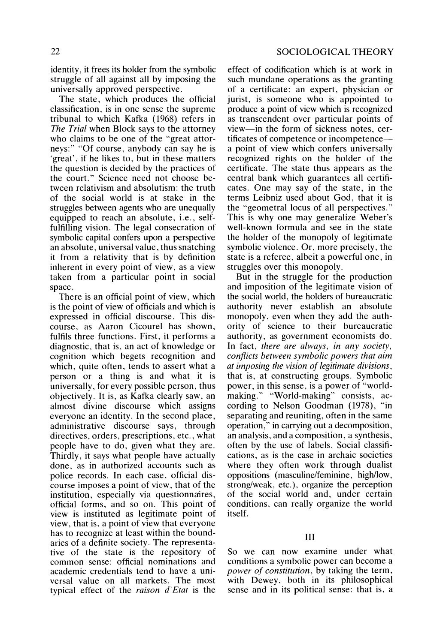identity, it frees its holder from the symbolic struggle of all against all by imposing the universally approved perspective.

The state, which produces the official classification, is in one sense the supreme tribunal to which Kafka (1968) refers in *The Trial* when Block says to the attorney who claims to be one of the "great attorneys:" "Of course. anybody can say he is 'great', if he likes to, but in these matters the question is decided by the practices of the court." Science need not choose between relativism and absolutism: the truth of the social world is at stake in the struggles between agents who are unequally equipped to reach an absolute, i.e., selffulfilling vision. The legal consecration of symbolic capital confers upon a perspective an absolute, universal value, thus snatching it from a relativity that is by definition inherent in every point of view, as a view taken from a particular point in social space.

There is an official point of view, which is the point of view of officials and which is expressed in official discourse. This discourse, as Aaron Cicourel has shown, fulfils three functions. First, it performs a diagnostic, that is, an act of knowledge or cognition which begets recognition and which, quite often, tends to assert what a person or a thing is and what it is universally, for every possible person, thus objectively. It is, as Kafka clearly saw, an almost divine discourse which assigns everyone an identity. In the second place, administrative discourse says, through directives, orders, prescriptions, etc., what people have to do, given what they are. Thirdly, it says what people have actually done, as in authorized accounts such as police records. In each case, official discourse imposes a point of view, that of the institution, especially via questionnaires, official forms, and so on. This point of view is instituted as legitimate point of view, that is, a point of view that everyone has to recognize at least within the boundaries of a definite society. The representative of the state is the repository of common sense: official nominations and academic credentials tend to have a universal value on all markets. The most typical effect of the *raison d'Etat* is the

effect of codification which is at work in such mundane operations as the granting of a certificate: an expert, physician or jurist, is someone who is appointed to produce a point of view which is recognized as transcendent over particular points of view-in the form of sickness notes, certificates of competence or incompetence a point of view which confers universally recognized rights on the holder of the certificate. The state thus appears as the central bank which guarantees all certificates. One may say of the state, in the terms Leibniz used about God, that it is the "geometral locus of all perspectives." This is why one may generalize Weber's well-known formula and see in the state the holder of the monopoly of legitimate symbolic violence. Or, more precisely, the state is a referee, albeit a powerful one, in struggles over this monopoly.

But in the struggle for the production and imposition of the legitimate vision of the social world, the holders of bureaucratic authority never establish an absolute monopoly. even when they add the authority of science to their bureaucratic authority, as government economists do. In fact, *there are always, in any society, conflicts between symbolic powers that aim at imposing the vision of legitimate divisions,*  that is, at constructing groups. Symbolic power, in this sense, is a power of "worldmaking." "World-making" consists, according to Nelson Goodman (1978), "in separating and reuniting, often in the same operation," in carrying out a decomposition, an analysis, and a composition, a synthesis, often by the use of labels. Social classifications, as is the case in archaic societies where they often work through dualist oppositions (masculine/feminine, high/low, strong/weak, etc.), organize the perception of the social world and, under certain conditions, can really organize the world itself.

#### III

So we can now examine under what conditions a symbolic power can become a *power of constitution,* by taking the term, with Dewey, both in its philosophical sense and in its political sense: that is. a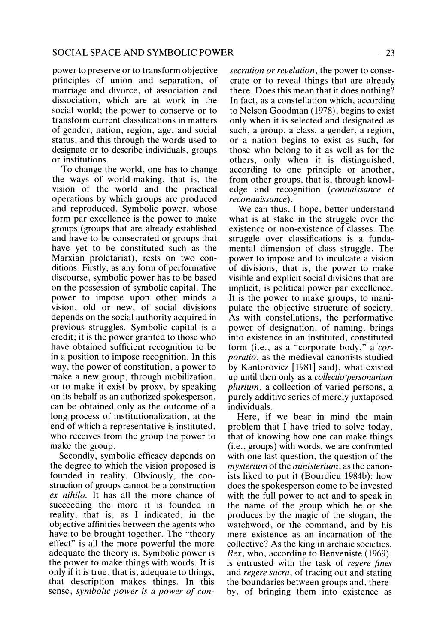power to preserve or to transform objective principles of union and separation, of marriage and divorce, of association and dissociation, which are at work in the social world; the power to conserve or to transform current classifications in matters of gender, nation, region, age, and social status, and this through the words used to designate or to describe individuals, groups or institutions.

To change the world, one has to change the ways of world-making, that is, the vision of the world and the practical operations by which groups are produced and reproduced. Symbolic power, whose form par excellence is the power to make groups (groups that are already established and have to be consecrated or groups that have yet to be constituted such as the Marxian proletariat), rests on two conditions. Firstly, as any form of performative discourse, symbolic power has to be based on the possession of symbolic capital. The power to impose upon other minds a vision, old or new, of social divisions depends on the social authority acquired in previous struggles. Symbolic capital is a credit; it is the power granted to those who have obtained sufficient recognition to be in a position to impose recognition. In this way, the power of constitution, a power to make a new group, through mobilization, or to make it exist by proxy, by speaking on its behalf as an authorized spokesperson, can be obtained only as the outcome of a long process of institutionalization, at the end of which a representative is instituted, who receives from the group the power to make the group.

Secondly, symbolic efficacy depends on the degree to which the vision proposed is founded in reality. Obviously, the construction of groups cannot be a construction *ex nihilo.* It has all the more chance of succeeding the more it is founded in reality, that is, as I indicated, in the objective affinities between the agents who have to be brought together. The "theory effect" is all the more powerful the more adequate the theory is. Symbolic power is the power to make things with words. It is only if it is true, that is, adequate to things, that description makes things. In this sense, *symbolic power is a power of con-* *secration or revelation,* the power to consecrate or to reveal things that are already there. Does this mean that it does nothing? In fact, as a constellation which, according to Nelson Goodman (1978), begins to exist only when it is selected and designated as such, a group, a class, a gender, a region, or a nation begins to exist as such, for those who belong to it as well as for the others, only when it is distinguished, according to one principle or another, from other groups, that is, through knowledge and recognition *(connaissance et reconnaissance).* 

We can thus, I hope, better understand what is at stake in the struggle over the existence or non-existence of classes. The struggle over classifications is a fundamental dimension of class struggle. The power to impose and to inculcate a vision of divisions, that is, the power to make visible and explicit social divisions that are implicit, is political power par excellence. It is the power to make groups, to manipulate the objective structure of society. As with constellations, the performative power of designation, of naming, brings into existence in an instituted, constituted form (i.e., as a "corporate body," a *corporatio,* as the medieval canonists studied by Kantorovicz [1981] said), what existed up until then only as a *collectio personarium plurium,* a collection of varied persons. a purely additive series of merely juxtaposed individuals.

Here, if we bear in mind the main problem that I have tried to solve today, that of knowing how one can make things (i.e., groups) with words, we are confronted with one last question, the question of the *mysterium* of the *ministerium,* as the canonists liked to put it (Bourdieu 1984b): how does the spokesperson come to be invested with the full power to act and to speak in the name of the group which he or she produces by the magic of the slogan, the watchword, or the command, and by his mere existence as an incarnation of the collective? As the king in archaic societies, *Rex,* who, according to Benveniste *(1969),*  is entrusted with the task of *regere fines*  and *regere sacra,* of tracing out and stating the boundaries between groups and, thereby, of bringing them into existence as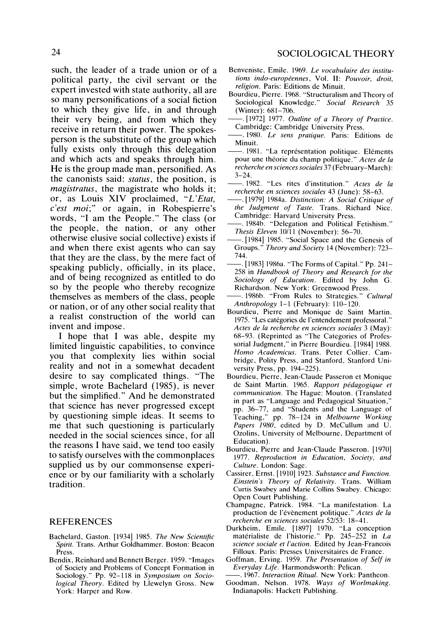such, the leader of a trade union or of a political party, the civil servant or the expert invested with state authoritv. all are **2,** so many personifications of a social fiction to which they give life, in and through their very being, and from which they receive in return their power. The spokesperson is the substitute of the group which fully exists only through this delegation and which acts and speaks through him. He is the group made man, personified. As the canonists said: *status,* the position, is *magistratus,* the magistrate who holds it; or, as Louis XIV proclaimed, "L'Etat, *c'est moi;*" or again, in Robespierre's *the Judgment of Taste.* Trans. Richard Nice. words, "I am the People." The class (or the people, the nation, or any other otherwise elusive social collective) exists if and when there exist agents who can say that they are the class, by the mere fact of speaking publicly, officially, in its place, and of being recognized as entitled to do so by the people who thereby recognize themselves as members of the class, people or nation, or of any other social reality that a realist construction of the world can invent and impose.

I hope that I was able, despite my limited linguistic capabilities, to convince you that complexity lies within social reality and not in a somewhat decadent desire to say complicated things. "The simple, wrote Bachelard (1985), is never but the simplified." And he demonstrated that science has never progressed except by questioning simple ideas. It seems to me that such questioning is particularly needed in the social sciences since, for all the reasons I have said, we tend too easily to satisfy ourselves with the commonplaces supplied us by our commonsense experience or by our familiarity with a scholarly tradition.

## REFERENCES

- Bachelard, Gaston. [1934] 1985. *The New Scientific Spirit.* Trans. Arthur Goldhammer. Boston: Beacon Press.
- Bendix. Reinhard and Bennett Berger. 1959. "Images of Society and Problems of Concept Formation in Sociology." Pp. 92-118 in *Symposium on Sociological Theory.* Edited by Llewelyn Gross. New York: Harper and Row.
- Benveniste. Emile. 1969. *Le vocabulaire des insrilurions indo-europiennes.* Vol. 11: *Pouvoir, droir, religion.* Paris: Editions de Minuit.
- Bourdieu. Pierre. 1968. "Structuralism and Theory of Sociological Knowledge." *Social Research* 35 (Winter): 681-706.
- -. [I9721 1977. *Outline of a Theory of Practice.*  Cambridge: Cambridge University Press.
- -. 1980. *Le sens prarique.* Paris: Editions de Minuit.
- -. 1981. "La représentation politique. Eléments pour une theorie du champ politique." *Acres de la recherche en sciences sociales* 37 (February-March):  $3 - 24$ .
- -. 1982. "Les rites d'institution." *Acres de la recherche en sciences sociales* 43 (June): 58-63.
- -. [I9791 1984a. *Disrinclion: A Social Crilique of*  Cambridge: Harvard University Press.
- -. 1984b. "Delegation and Political Fetishism." *Thesis Eleven* 10/11 (November): 56-70.
- -. [I9841 1985. "Social Space and the Genesis of Groups." *Theory and Sociely* 14 (November): 723- 744.
- . [1983] 1986a. "The Forms of Capital." Pp. 241– 258 in *Handbook of Theory and Research for the Sociology of Education.* Edited by John G. Richardson. New York: Greenwood Press.<br>— 1986b. "From Rules to Strategies." *Cultural*
- *Anlhropology* 1-1 (February): 110-120.
- Bourdieu, Pierre and Monique de Saint Martin. 1975. "Les categories de I'entendement professoral." *Acres de la recherche en sciences sociales* 3 (May): 68-93. (Reprinted as "The Categories of Professorial Judgment," in Pierre Bourdieu. [1984] 1988. *Homo Academicus.* Trans. Peter Collier. Cambridge, Polity Press, and Stanford, Stanford University Press. pp. 194-225).
- Bourdieu, Pierre. Jean-Claude Passeron et Monique de Saint Martin. 1965. *Rapport pidagogique er communicarion.* The Hague: Mouton. (Translated in part as "Language and Pedagogical Situation," pp. 36-77, and "Students and the Language of Teaching." pp. 78-124 in *Melbourne Working*  Papers 1980, edited by D. McCullum and U. Ozolins. University of Melbourne. Department of Education).
- Bourdieu, Pierre and Jean-Claude Passeron. [1970] 1977. *Reproduction in Education, Society, and Cullure.* London: Sage.
- Cassirer, Ernst. [1910] 1923. Substance and Function. *Einstein's Theory of Relarivily.* Trans. William Curtis Swabey and Marie Collins Swabey. Chicago: Open Court Publishing.
- Champagne, Patrick. 1984. "La manifestation. La production de I'evenement politique." *Acles de la recherche en sciences sociales* 52153: 18-41.
- Durkheim, Emile. [1897] 1970. "La conception materialiste de I'historie." Pp. 245-252 in *La science sociale er I'acrion.* Edited by Jean-Francois Filloux. Paris: Presses Universitaires de France.
- Goffman, Erving. 1959. *The Presenlarion of Self in Everyday Life.* Harmondsworth: Pelican.
- -. 1967. *lnreracrion Ritual.* New York: Pantheon. Goodman. Nelson. 1978. *Ways of Worlmaking.*  Indianapolis: Hackett Publishing.